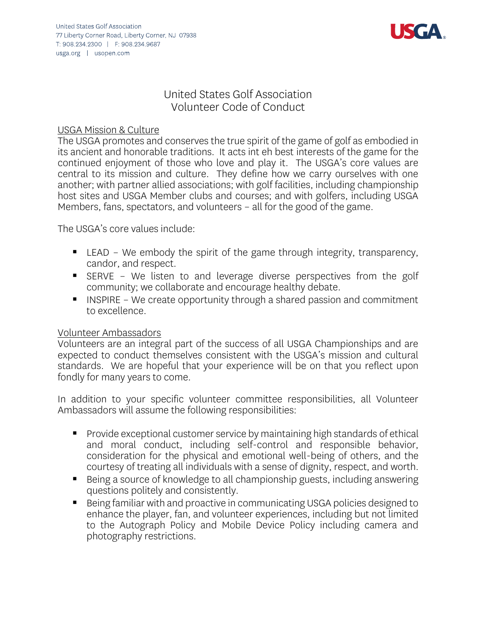

# United States Golf Association Volunteer Code of Conduct

### USGA Mission & Culture

The USGA promotes and conserves the true spirit of the game of golf as embodied in its ancient and honorable traditions. It acts int eh best interests of the game for the continued enjoyment of those who love and play it. The USGA's core values are central to its mission and culture. They define how we carry ourselves with one another; with partner allied associations; with golf facilities, including championship host sites and USGA Member clubs and courses; and with golfers, including USGA Members, fans, spectators, and volunteers – all for the good of the game.

The USGA's core values include:

- LEAD We embody the spirit of the game through integrity, transparency, candor, and respect.
- SERVE We listen to and leverage diverse perspectives from the golf community; we collaborate and encourage healthy debate.
- INSPIRE We create opportunity through a shared passion and commitment to excellence.

#### Volunteer Ambassadors

Volunteers are an integral part of the success of all USGA Championships and are expected to conduct themselves consistent with the USGA's mission and cultural standards. We are hopeful that your experience will be on that you reflect upon fondly for many years to come.

In addition to your specific volunteer committee responsibilities, all Volunteer Ambassadors will assume the following responsibilities:

- Provide exceptional customer service by maintaining high standards of ethical and moral conduct, including self-control and responsible behavior, consideration for the physical and emotional well-being of others, and the courtesy of treating all individuals with a sense of dignity, respect, and worth.
- Being a source of knowledge to all championship guests, including answering questions politely and consistently.
- Being familiar with and proactive in communicating USGA policies designed to enhance the player, fan, and volunteer experiences, including but not limited to the Autograph Policy and Mobile Device Policy including camera and photography restrictions.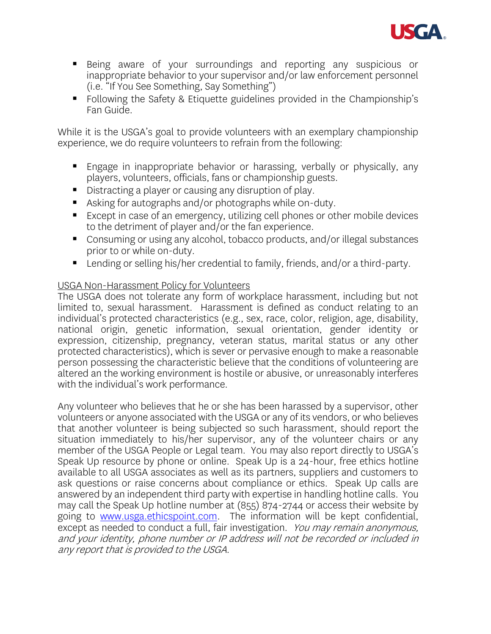

- Being aware of your surroundings and reporting any suspicious or inappropriate behavior to your supervisor and/or law enforcement personnel (i.e. "If You See Something, Say Something")
- Following the Safety & Etiquette guidelines provided in the Championship's Fan Guide.

While it is the USGA's goal to provide volunteers with an exemplary championship experience, we do require volunteers to refrain from the following:

- Engage in inappropriate behavior or harassing, verbally or physically, any players, volunteers, officials, fans or championship guests.
- Distracting a player or causing any disruption of play.
- Asking for autographs and/or photographs while on-duty.
- Except in case of an emergency, utilizing cell phones or other mobile devices to the detriment of player and/or the fan experience.
- Consuming or using any alcohol, tobacco products, and/or illegal substances prior to or while on-duty.
- Lending or selling his/her credential to family, friends, and/or a third-party.

## USGA Non-Harassment Policy for Volunteers

The USGA does not tolerate any form of workplace harassment, including but not limited to, sexual harassment. Harassment is defined as conduct relating to an individual's protected characteristics (e.g., sex, race, color, religion, age, disability, national origin, genetic information, sexual orientation, gender identity or expression, citizenship, pregnancy, veteran status, marital status or any other protected characteristics), which is sever or pervasive enough to make a reasonable person possessing the characteristic believe that the conditions of volunteering are altered an the working environment is hostile or abusive, or unreasonably interferes with the individual's work performance.

Any volunteer who believes that he or she has been harassed by a supervisor, other volunteers or anyone associated with the USGA or any of its vendors, or who believes that another volunteer is being subjected so such harassment, should report the situation immediately to his/her supervisor, any of the volunteer chairs or any member of the USGA People or Legal team. You may also report directly to USGA's Speak Up resource by phone or online. Speak Up is a 24-hour, free ethics hotline available to all USGA associates as well as its partners, suppliers and customers to ask questions or raise concerns about compliance or ethics. Speak Up calls are answered by an independent third party with expertise in handling hotline calls. You may call the Speak Up hotline number at (855) 874-2744 or access their website by going to [www.usga.ethicspoint.com.](http://www.usga.ethicspoint.com/) The information will be kept confidential, except as needed to conduct a full, fair investigation. You may remain anonymous, and your identity, phone number or IP address will not be recorded or included in any report that is provided to the USGA.